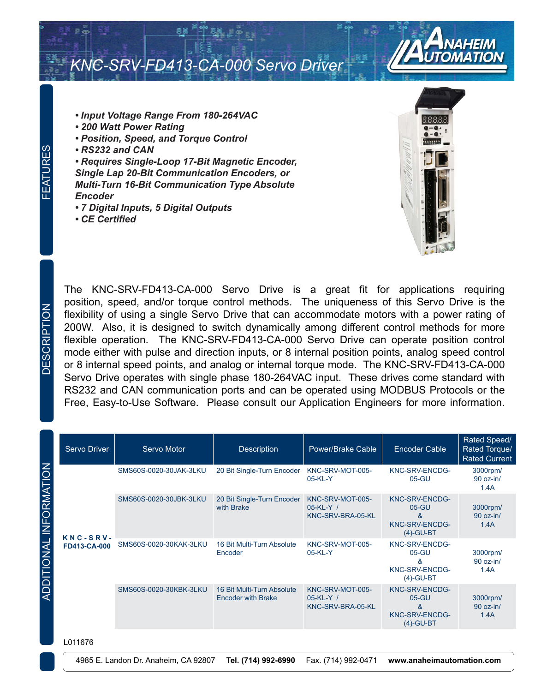



- *Input Voltage Range From 180-264VAC*
- *200 Watt Power Rating*
- *Position, Speed, and Torque Control*
- *RS232 and CAN*

*• Requires Single-Loop 17-Bit Magnetic Encoder, Single Lap 20-Bit Communication Encoders, or Multi-Turn 16-Bit Communication Type Absolute Encoder*

- *7 Digital Inputs, 5 Digital Outputs*
- *CE Certified*



The KNC-SRV-FD413-CA-000 Servo Drive is a great fit for applications requiring position, speed, and/or torque control methods. The uniqueness of this Servo Drive is the flexibility of using a single Servo Drive that can accommodate motors with a power rating of 200W. Also, it is designed to switch dynamically among different control methods for more flexible operation. The KNC-SRV-FD413-CA-000 Servo Drive can operate position control mode either with pulse and direction inputs, or 8 internal position points, analog speed control or 8 internal speed points, and analog or internal torque mode. The KNC-SRV-FD413-CA-000 Servo Drive operates with single phase 180-264VAC input. These drives come standard with RS232 and CAN communication ports and can be operated using MODBUS Protocols or the Free, Easy-to-Use Software. Please consult our Application Engineers for more information.

| Servo Driver                      | Servo Motor            | Description                                             | Power/Brake Cable                                    | <b>Encoder Cable</b>                                                          | Rated Speed/<br>Rated Torque/<br><b>Rated Current</b> |
|-----------------------------------|------------------------|---------------------------------------------------------|------------------------------------------------------|-------------------------------------------------------------------------------|-------------------------------------------------------|
| $KNC-SRV-$<br><b>FD413-CA-000</b> | SMS60S-0020-30JAK-3LKU | 20 Bit Single-Turn Encoder                              | KNC-SRV-MOT-005-<br>$05-KL-Y$                        | KNC-SRV-ENCDG-<br>$05-GU$                                                     | 3000rpm/<br>90 oz-in/<br>1.4A                         |
|                                   | SMS60S-0020-30JBK-3LKU | 20 Bit Single-Turn Encoder<br>with Brake                | KNC-SRV-MOT-005-<br>05-KL-Y /<br>KNC-SRV-BRA-05-KL   | <b>KNC-SRV-ENCDG-</b><br>$05-GU$<br>&<br><b>KNC-SRV-ENCDG-</b><br>$(4)-GU-BT$ | 3000rpm/<br>$90$ oz-in/<br>1.4A                       |
|                                   | SMS60S-0020-30KAK-3LKU | 16 Bit Multi-Turn Absolute<br>Encoder                   | KNC-SRV-MOT-005-<br>$05-KL-Y$                        | KNC-SRV-ENCDG-<br>$05-GU$<br>ጼ<br>KNC-SRV-ENCDG-<br>$(4)-GU-BT$               | 3000rpm/<br>$90$ oz-in/<br>1.4A                       |
|                                   | SMS60S-0020-30KBK-3LKU | 16 Bit Multi-Turn Absolute<br><b>Encoder with Brake</b> | KNC-SRV-MOT-005-<br>$05-KL-Y$ /<br>KNC-SRV-BRA-05-KL | <b>KNC-SRV-ENCDG-</b><br>$05-GU$<br>&<br>KNC-SRV-ENCDG-<br>$(4)-GU-BT$        | 3000rpm/<br>$90$ oz-in/<br>1.4A                       |

L011676

ADDITIONAL INFORMATION

ADDITIONAL INFORMATION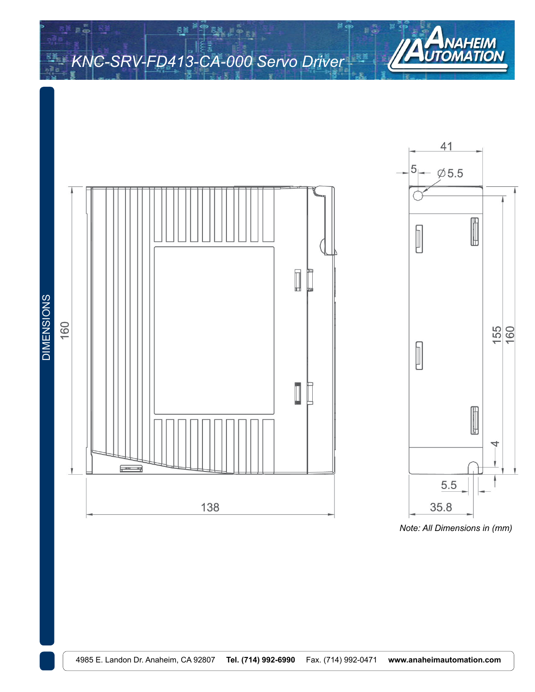ē,



*Note: All Dimensions in (mm)*

AUTON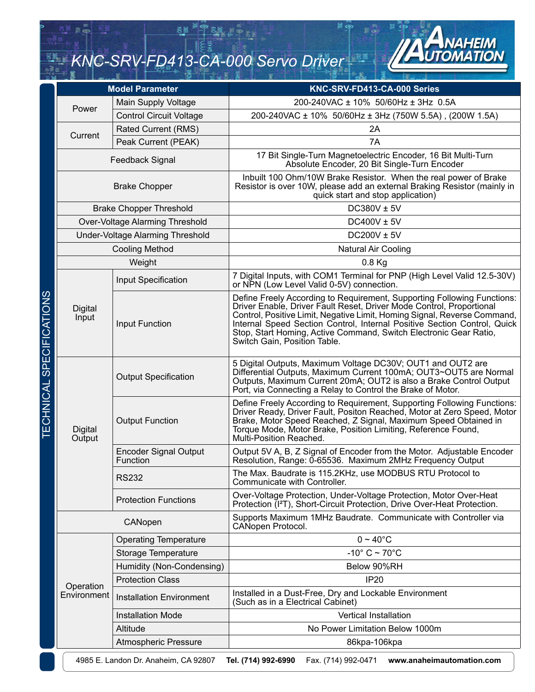ē,



|                                 | <b>Model Parameter</b>                                                                                          |                                          | KNC-SRV-FD413-CA-000 Series                                                                                                                                                                                                                                                                                                                                                                                  |  |
|---------------------------------|-----------------------------------------------------------------------------------------------------------------|------------------------------------------|--------------------------------------------------------------------------------------------------------------------------------------------------------------------------------------------------------------------------------------------------------------------------------------------------------------------------------------------------------------------------------------------------------------|--|
|                                 | Power                                                                                                           | Main Supply Voltage                      | 200-240VAC ± 10% 50/60Hz ± 3Hz 0.5A                                                                                                                                                                                                                                                                                                                                                                          |  |
|                                 |                                                                                                                 | <b>Control Circuit Voltage</b>           | 200-240VAC ± 10% 50/60Hz ± 3Hz (750W 5.5A), (200W 1.5A)                                                                                                                                                                                                                                                                                                                                                      |  |
|                                 | Current                                                                                                         | Rated Current (RMS)                      | 2A                                                                                                                                                                                                                                                                                                                                                                                                           |  |
|                                 |                                                                                                                 | Peak Current (PEAK)                      | 7A                                                                                                                                                                                                                                                                                                                                                                                                           |  |
|                                 | Feedback Signal                                                                                                 |                                          | 17 Bit Single-Turn Magnetoelectric Encoder, 16 Bit Multi-Turn<br>Absolute Encoder, 20 Bit Single-Turn Encoder                                                                                                                                                                                                                                                                                                |  |
|                                 | <b>Brake Chopper</b>                                                                                            |                                          | Inbuilt 100 Ohm/10W Brake Resistor. When the real power of Brake<br>Resistor is over 10W, please add an external Braking Resistor (mainly in<br>quick start and stop application)                                                                                                                                                                                                                            |  |
|                                 |                                                                                                                 | <b>Brake Chopper Threshold</b>           | DC380V ± 5V                                                                                                                                                                                                                                                                                                                                                                                                  |  |
|                                 |                                                                                                                 | Over-Voltage Alarming Threshold          | DC400V $\pm$ 5V                                                                                                                                                                                                                                                                                                                                                                                              |  |
|                                 |                                                                                                                 | Under-Voltage Alarming Threshold         | DC200V $\pm$ 5V                                                                                                                                                                                                                                                                                                                                                                                              |  |
|                                 |                                                                                                                 | <b>Cooling Method</b>                    | <b>Natural Air Cooling</b>                                                                                                                                                                                                                                                                                                                                                                                   |  |
|                                 |                                                                                                                 | Weight                                   | $0.8$ Kg                                                                                                                                                                                                                                                                                                                                                                                                     |  |
|                                 |                                                                                                                 | Input Specification                      | 7 Digital Inputs, with COM1 Terminal for PNP (High Level Valid 12.5-30V)<br>or NPN (Low Level Valid 0-5V) connection.                                                                                                                                                                                                                                                                                        |  |
| <b>TECHNICAL SPECIFICATIONS</b> | <b>Digital</b><br>Input                                                                                         | Input Function                           | Define Freely According to Requirement, Supporting Following Functions:<br>Driver Enable, Driver Fault Reset, Driver Mode Control, Proportional<br>Control, Positive Limit, Negative Limit, Homing Signal, Reverse Command,<br>Internal Speed Section Control, Internal Positive Section Control, Quick<br>Stop, Start Homing, Active Command, Switch Electronic Gear Ratio,<br>Switch Gain, Position Table. |  |
|                                 | Digital<br>Output                                                                                               | <b>Output Specification</b>              | 5 Digital Outputs, Maximum Voltage DC30V; OUT1 and OUT2 are<br>Differential Outputs, Maximum Current 100mA; OUT3~OUT5 are Normal<br>Outputs, Maximum Current 20mA; OUT2 is also a Brake Control Output<br>Port, via Connecting a Relay to Control the Brake of Motor.                                                                                                                                        |  |
|                                 |                                                                                                                 | <b>Output Function</b>                   | Define Freely According to Requirement, Supporting Following Functions:<br>Driver Ready, Driver Fault, Positon Reached, Motor at Zero Speed, Motor<br>Brake, Motor Speed Reached, Z Signal, Maximum Speed Obtained in<br>Torque Mode, Motor Brake, Position Limiting, Reference Found,<br>Multi-Position Reached.                                                                                            |  |
|                                 |                                                                                                                 | <b>Encoder Signal Output</b><br>Function | Output 5V A, B, Z Signal of Encoder from the Motor. Adjustable Encoder<br>Resolution, Range: 0-65536. Maximum 2MHz Frequency Output                                                                                                                                                                                                                                                                          |  |
|                                 |                                                                                                                 | <b>RS232</b>                             | The Max. Baudrate is 115.2KHz, use MODBUS RTU Protocol to<br>Communicate with Controller.                                                                                                                                                                                                                                                                                                                    |  |
|                                 |                                                                                                                 | <b>Protection Functions</b>              | Over-Voltage Protection, Under-Voltage Protection, Motor Over-Heat<br>Protection (I <sup>2</sup> T), Short-Circuit Protection, Drive Over-Heat Protection.                                                                                                                                                                                                                                                   |  |
|                                 | CANopen                                                                                                         |                                          | Supports Maximum 1MHz Baudrate. Communicate with Controller via<br>CANopen Protocol.                                                                                                                                                                                                                                                                                                                         |  |
|                                 |                                                                                                                 | <b>Operating Temperature</b>             | $0 \sim 40^{\circ}$ C                                                                                                                                                                                                                                                                                                                                                                                        |  |
|                                 |                                                                                                                 | Storage Temperature                      | $-10^{\circ}$ C ~ 70 $^{\circ}$ C                                                                                                                                                                                                                                                                                                                                                                            |  |
|                                 |                                                                                                                 | Humidity (Non-Condensing)                | Below 90%RH                                                                                                                                                                                                                                                                                                                                                                                                  |  |
|                                 | Operation                                                                                                       | <b>Protection Class</b>                  | <b>IP20</b>                                                                                                                                                                                                                                                                                                                                                                                                  |  |
|                                 | Environment                                                                                                     | <b>Installation Environment</b>          | Installed in a Dust-Free, Dry and Lockable Environment<br>(Such as in a Electrical Cabinet)                                                                                                                                                                                                                                                                                                                  |  |
|                                 |                                                                                                                 | <b>Installation Mode</b>                 | <b>Vertical Installation</b>                                                                                                                                                                                                                                                                                                                                                                                 |  |
|                                 |                                                                                                                 | Altitude                                 | No Power Limitation Below 1000m                                                                                                                                                                                                                                                                                                                                                                              |  |
|                                 |                                                                                                                 | <b>Atmospheric Pressure</b>              | 86kpa-106kpa                                                                                                                                                                                                                                                                                                                                                                                                 |  |
|                                 | 4985 E. Landon Dr. Anaheim, CA 92807<br>Tel. (714) 992-6990<br>Fax. (714) 992-0471<br>www.anaheimautomation.com |                                          |                                                                                                                                                                                                                                                                                                                                                                                                              |  |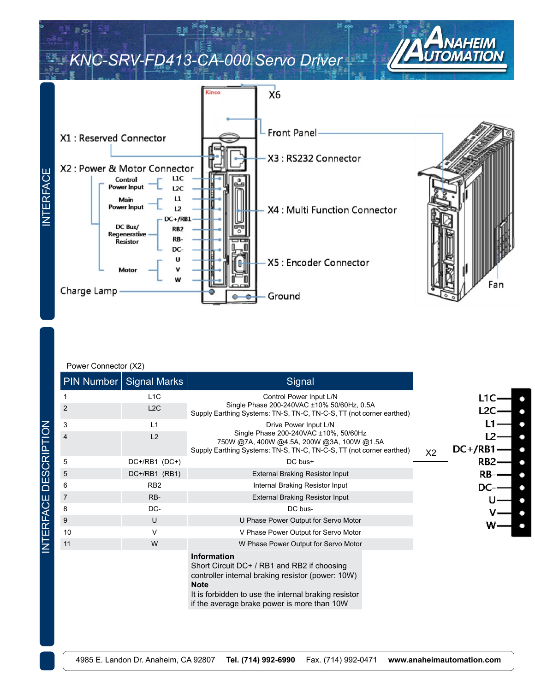

#### Power Connector (X2)

|                | PIN Number   Signal Marks | Signal                                                                                                                                                                                        |                   |
|----------------|---------------------------|-----------------------------------------------------------------------------------------------------------------------------------------------------------------------------------------------|-------------------|
|                | L <sub>1</sub> C          | Control Power Input L/N                                                                                                                                                                       | L1C               |
| $\overline{2}$ | L2C                       | Single Phase 200-240VAC ±10% 50/60Hz, 0.5A<br>Supply Earthing Systems: TN-S, TN-C, TN-C-S, TT (not corner earthed)                                                                            | L2C               |
| 3              | L1                        | Drive Power Input L/N                                                                                                                                                                         |                   |
| $\overline{4}$ | L <sub>2</sub>            | Single Phase 200-240VAC ±10%, 50/60Hz<br>750W @7A, 400W @4.5A, 200W @3A, 100W @1.5A<br>Supply Earthing Systems: TN-S, TN-C, TN-C-S, TT (not corner earthed)                                   | $DC+ / RB1$<br>X2 |
| 5              | DC+/RB1 (DC+)             | DC bus+                                                                                                                                                                                       | RB <sub>2</sub>   |
| 5              | DC+/RB1 (RB1)             | <b>External Braking Resistor Input</b>                                                                                                                                                        | RB                |
| 6              | RB <sub>2</sub>           | Internal Braking Resistor Input                                                                                                                                                               | DC                |
| $\overline{7}$ | RB-                       | <b>External Braking Resistor Input</b>                                                                                                                                                        |                   |
| 8              | DC-                       | DC bus-                                                                                                                                                                                       |                   |
| 9              | U                         | U Phase Power Output for Servo Motor                                                                                                                                                          |                   |
| 10             | V                         | V Phase Power Output for Servo Motor                                                                                                                                                          |                   |
| 11             | W                         | W Phase Power Output for Servo Motor                                                                                                                                                          |                   |
|                |                           | <b>Information</b><br>Short Circuit DC+ / RB1 and RB2 if choosing<br>controller internal braking resistor (power: 10W)<br><b>Note</b><br>It is forbidden to use the internal braking resistor |                   |

if the average brake power is more than 10W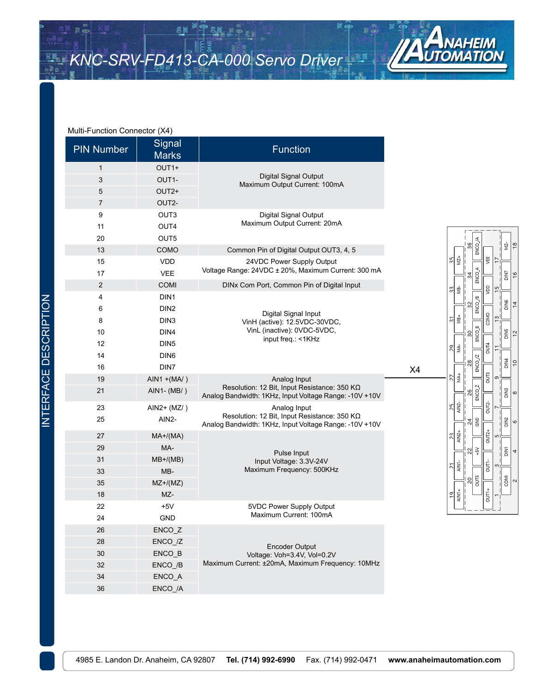š!



ENCO<sub>JA</sub>

ENCO\_A

 $ENCO/B$ 

**ENCO\_B** 

 $ENCO/Z$ 

ENCO\_Z

**S** 

있 호

 $\frac{2}{5}$ 

뻦

ğ

COMO

DUT4

g

OUT2-

OUT2+

ti<br>S

 $\frac{1}{\sqrt{1 + \frac{1}{\sqrt{1 + \frac{1}{\sqrt{1 + \frac{1}{\sqrt{1 + \frac{1}{\sqrt{1 + \frac{1}{\sqrt{1 + \frac{1}{\sqrt{1 + \frac{1}{\sqrt{1 + \frac{1}{\sqrt{1 + \frac{1}{\sqrt{1 + \frac{1}{\sqrt{1 + \frac{1}{\sqrt{1 + \frac{1}{\sqrt{1 + \frac{1}{\sqrt{1 + \frac{1}{\sqrt{1 + \frac{1}{\sqrt{1 + \frac{1}{\sqrt{1 + \frac{1}{\sqrt{1 + \frac{1}{\sqrt{1 + \frac{1}{\sqrt{1 + \frac{1}{\sqrt{1 + \frac{1}{\sqrt{1 +$ 

r

u.

 $\frac{5}{20}$ 

 $\frac{3}{4}$ 

엚

읪

28

읪

낇

MZ+

<u>∳</u>

MB+ 하

MA-ଅ

MA+ 21

 $AN2$ 있

AIN2+

AIN1-뇌

AIN1+ 의

 $\frac{2}{3}$ 

55

쒾

MZ-∣∞

**ZNIO** 

**BINIC** 

**SNIC** 

DIN4  $\frac{1}{2}$ 

 $\mathop{\underline{\mathbb{B}}}$ 

DIN<sub>2</sub>

DINT 4

COMI  $\sim$ 

8

o

 $16$ 

 $\overline{4}$ 

 $\frac{1}{2}$ 

28.

#### Multi-Function Connector (X4)

| <b>PIN Number</b> | $\mathbf{v}$ . $\mathbf{v}$<br>Signal<br><b>Marks</b> | <b>Function</b>                                                                                          |  |
|-------------------|-------------------------------------------------------|----------------------------------------------------------------------------------------------------------|--|
| 1                 | OUT1+                                                 |                                                                                                          |  |
| 3                 | OUT1-                                                 | Digital Signal Output<br>Maximum Output Current: 100mA                                                   |  |
| 5                 | OUT <sub>2+</sub>                                     |                                                                                                          |  |
| 7                 | OUT2-                                                 |                                                                                                          |  |
| 9                 | OUT3                                                  | Digital Signal Output                                                                                    |  |
| 11                | OUT4                                                  | Maximum Output Current: 20mA                                                                             |  |
| 20                | OUT5                                                  |                                                                                                          |  |
| 13                | COMO                                                  | Common Pin of Digital Output OUT3, 4, 5                                                                  |  |
| 15                | VDD                                                   | 24VDC Power Supply Output                                                                                |  |
| 17                | <b>VEE</b>                                            | Voltage Range: 24VDC ± 20%, Maximum Current: 300 mA                                                      |  |
| $\overline{2}$    | <b>COMI</b>                                           | DINx Com Port, Common Pin of Digital Input                                                               |  |
| 4                 | DIN <sub>1</sub>                                      |                                                                                                          |  |
| 6                 | DIN <sub>2</sub>                                      | Digital Signal Input                                                                                     |  |
| 8                 | DIN <sub>3</sub>                                      | VinH (active): 12.5VDC-30VDC,                                                                            |  |
| 10                | DIN4                                                  | VinL (inactive): 0VDC-5VDC,<br>input freq.: <1KHz                                                        |  |
| 12                | DIN <sub>5</sub>                                      |                                                                                                          |  |
| 14                | DIN <sub>6</sub>                                      |                                                                                                          |  |
| 16                | DIN7                                                  |                                                                                                          |  |
| 19                | $AIN1 + (MA/ )$                                       | Analog Input                                                                                             |  |
| 21                | AIN1- (MB/)                                           | Resolution: 12 Bit, Input Resistance: 350 KQ<br>Analog Bandwidth: 1KHz, Input Voltage Range: - 10V + 10V |  |
| 23                | $AlN2+ (MZ/ )$                                        | Analog Input                                                                                             |  |
| 25                | AIN <sub>2</sub> -                                    | Resolution: 12 Bit, Input Resistance: 350 KQ<br>Analog Bandwidth: 1KHz, Input Voltage Range: -10V +10V   |  |
| 27                | $MA+/(MA)$                                            |                                                                                                          |  |
| 29                | MA-                                                   | Pulse Input                                                                                              |  |
| 31                | $MB+/(MB)$                                            | Input Voltage: 3.3V-24V                                                                                  |  |
| 33                | MB-                                                   | Maximum Frequency: 500KHz                                                                                |  |
| 35                | $MZ+/(MZ)$                                            |                                                                                                          |  |
| 18                | MZ-                                                   |                                                                                                          |  |
| 22                | $+5V$                                                 | 5VDC Power Supply Output                                                                                 |  |
| 24                | <b>GND</b>                                            | Maximum Current: 100mA                                                                                   |  |
| 26                | ENCO_Z                                                |                                                                                                          |  |
| 28                | ENCO_/Z                                               | <b>Encoder Output</b>                                                                                    |  |
| 30                | ENCO_B                                                | Voltage: Voh=3.4V, Vol=0.2V                                                                              |  |
| 32                | ENCO_/B                                               | Maximum Current: ±20mA, Maximum Frequency: 10MHz                                                         |  |
| 34                | ENCO_A                                                |                                                                                                          |  |
| 36                | ENCO_/A                                               |                                                                                                          |  |